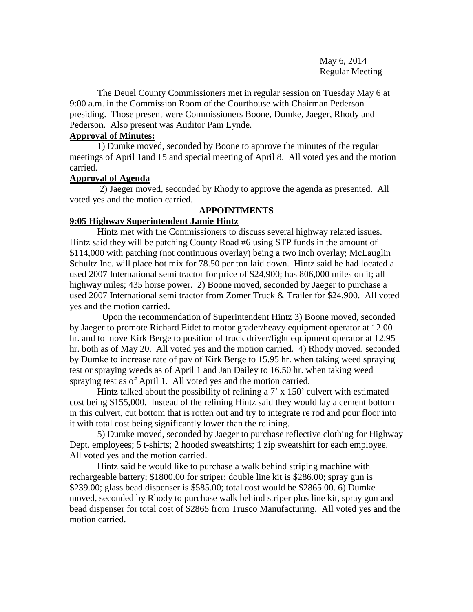May 6, 2014 Regular Meeting

The Deuel County Commissioners met in regular session on Tuesday May 6 at 9:00 a.m. in the Commission Room of the Courthouse with Chairman Pederson presiding. Those present were Commissioners Boone, Dumke, Jaeger, Rhody and Pederson. Also present was Auditor Pam Lynde.

# **Approval of Minutes:**

1) Dumke moved, seconded by Boone to approve the minutes of the regular meetings of April 1and 15 and special meeting of April 8. All voted yes and the motion carried.

# **Approval of Agenda**

2) Jaeger moved, seconded by Rhody to approve the agenda as presented. All voted yes and the motion carried.

# **APPOINTMENTS**

# **9:05 Highway Superintendent Jamie Hintz**

Hintz met with the Commissioners to discuss several highway related issues. Hintz said they will be patching County Road #6 using STP funds in the amount of \$114,000 with patching (not continuous overlay) being a two inch overlay; McLauglin Schultz Inc. will place hot mix for 78.50 per ton laid down. Hintz said he had located a used 2007 International semi tractor for price of \$24,900; has 806,000 miles on it; all highway miles; 435 horse power. 2) Boone moved, seconded by Jaeger to purchase a used 2007 International semi tractor from Zomer Truck & Trailer for \$24,900. All voted yes and the motion carried.

 Upon the recommendation of Superintendent Hintz 3) Boone moved, seconded by Jaeger to promote Richard Eidet to motor grader/heavy equipment operator at 12.00 hr. and to move Kirk Berge to position of truck driver/light equipment operator at 12.95 hr. both as of May 20. All voted yes and the motion carried. 4) Rhody moved, seconded by Dumke to increase rate of pay of Kirk Berge to 15.95 hr. when taking weed spraying test or spraying weeds as of April 1 and Jan Dailey to 16.50 hr. when taking weed spraying test as of April 1. All voted yes and the motion carried.

Hintz talked about the possibility of relining a  $7'$  x 150' culvert with estimated cost being \$155,000. Instead of the relining Hintz said they would lay a cement bottom in this culvert, cut bottom that is rotten out and try to integrate re rod and pour floor into it with total cost being significantly lower than the relining.

5) Dumke moved, seconded by Jaeger to purchase reflective clothing for Highway Dept. employees; 5 t-shirts; 2 hooded sweatshirts; 1 zip sweatshirt for each employee. All voted yes and the motion carried.

Hintz said he would like to purchase a walk behind striping machine with rechargeable battery; \$1800.00 for striper; double line kit is \$286.00; spray gun is \$239.00; glass bead dispenser is \$585.00; total cost would be \$2865.00. 6) Dumke moved, seconded by Rhody to purchase walk behind striper plus line kit, spray gun and bead dispenser for total cost of \$2865 from Trusco Manufacturing. All voted yes and the motion carried.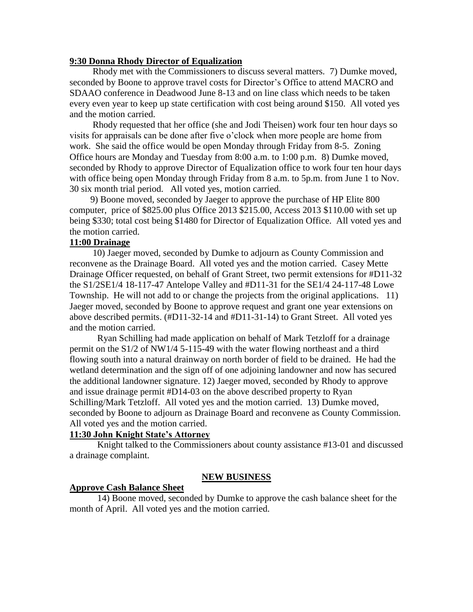# **9:30 Donna Rhody Director of Equalization**

 Rhody met with the Commissioners to discuss several matters. 7) Dumke moved, seconded by Boone to approve travel costs for Director's Office to attend MACRO and SDAAO conference in Deadwood June 8-13 and on line class which needs to be taken every even year to keep up state certification with cost being around \$150. All voted yes and the motion carried.

 Rhody requested that her office (she and Jodi Theisen) work four ten hour days so visits for appraisals can be done after five o'clock when more people are home from work. She said the office would be open Monday through Friday from 8-5. Zoning Office hours are Monday and Tuesday from 8:00 a.m. to 1:00 p.m. 8) Dumke moved, seconded by Rhody to approve Director of Equalization office to work four ten hour days with office being open Monday through Friday from 8 a.m. to 5p.m. from June 1 to Nov. 30 six month trial period. All voted yes, motion carried.

 9) Boone moved, seconded by Jaeger to approve the purchase of HP Elite 800 computer, price of \$825.00 plus Office 2013 \$215.00, Access 2013 \$110.00 with set up being \$330; total cost being \$1480 for Director of Equalization Office. All voted yes and the motion carried.

# **11:00 Drainage**

 10) Jaeger moved, seconded by Dumke to adjourn as County Commission and reconvene as the Drainage Board. All voted yes and the motion carried. Casey Mette Drainage Officer requested, on behalf of Grant Street, two permit extensions for #D11-32 the S1/2SE1/4 18-117-47 Antelope Valley and #D11-31 for the SE1/4 24-117-48 Lowe Township. He will not add to or change the projects from the original applications. 11) Jaeger moved, seconded by Boone to approve request and grant one year extensions on above described permits. (#D11-32-14 and #D11-31-14) to Grant Street. All voted yes and the motion carried.

Ryan Schilling had made application on behalf of Mark Tetzloff for a drainage permit on the S1/2 of NW1/4 5-115-49 with the water flowing northeast and a third flowing south into a natural drainway on north border of field to be drained. He had the wetland determination and the sign off of one adjoining landowner and now has secured the additional landowner signature. 12) Jaeger moved, seconded by Rhody to approve and issue drainage permit #D14-03 on the above described property to Ryan Schilling/Mark Tetzloff. All voted yes and the motion carried. 13) Dumke moved, seconded by Boone to adjourn as Drainage Board and reconvene as County Commission. All voted yes and the motion carried.

# **11:30 John Knight State's Attorney**

Knight talked to the Commissioners about county assistance #13-01 and discussed a drainage complaint.

#### **NEW BUSINESS**

#### **Approve Cash Balance Sheet**

14) Boone moved, seconded by Dumke to approve the cash balance sheet for the month of April. All voted yes and the motion carried.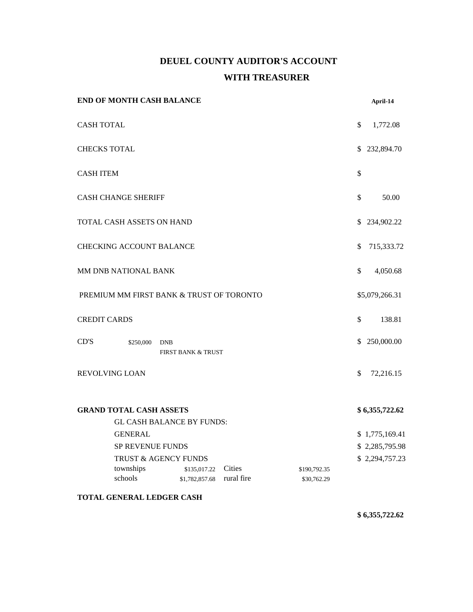# **DEUEL COUNTY AUDITOR'S ACCOUNT WITH TREASURER**

| <b>END OF MONTH CASH BALANCE</b>                                   |                     |                                             |            |              | April-14                         |
|--------------------------------------------------------------------|---------------------|---------------------------------------------|------------|--------------|----------------------------------|
| <b>CASH TOTAL</b>                                                  |                     |                                             |            |              | \$<br>1,772.08                   |
|                                                                    | <b>CHECKS TOTAL</b> |                                             |            |              | \$<br>232,894.70                 |
| <b>CASH ITEM</b>                                                   |                     |                                             |            |              | \$                               |
| <b>CASH CHANGE SHERIFF</b>                                         |                     |                                             |            |              | \$<br>50.00                      |
| TOTAL CASH ASSETS ON HAND                                          |                     |                                             |            |              | \$<br>234,902.22                 |
| <b>CHECKING ACCOUNT BALANCE</b>                                    |                     |                                             |            |              | \$<br>715,333.72                 |
| <b>MM DNB NATIONAL BANK</b>                                        |                     |                                             |            |              | \$<br>4,050.68                   |
| PREMIUM MM FIRST BANK & TRUST OF TORONTO                           |                     |                                             |            |              | \$5,079,266.31                   |
|                                                                    | <b>CREDIT CARDS</b> |                                             |            |              | \$<br>138.81                     |
| CD'S                                                               | \$250,000           | <b>DNB</b><br><b>FIRST BANK &amp; TRUST</b> |            |              | \$<br>250,000.00                 |
| REVOLVING LOAN                                                     |                     |                                             |            |              | \$<br>72,216.15                  |
| <b>GRAND TOTAL CASH ASSETS</b><br><b>GL CASH BALANCE BY FUNDS:</b> |                     |                                             |            |              | \$6,355,722.62                   |
|                                                                    | <b>GENERAL</b>      |                                             |            |              |                                  |
|                                                                    |                     |                                             |            |              | \$1,775,169.41                   |
| SP REVENUE FUNDS<br>TRUST & AGENCY FUNDS                           |                     |                                             |            |              | \$2,285,795.98<br>\$2,294,757.23 |
|                                                                    | townships           | \$135,017.22 Cities                         |            | \$190,792.35 |                                  |
|                                                                    | schools             | \$1,782,857.68                              | rural fire | \$30,762.29  |                                  |
|                                                                    |                     |                                             |            |              |                                  |

**TOTAL GENERAL LEDGER CASH**

**\$ 6,355,722.62**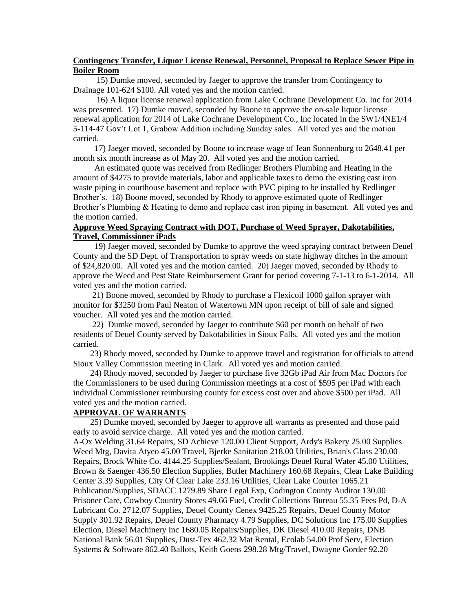# **Contingency Transfer, Liquor License Renewal, Personnel, Proposal to Replace Sewer Pipe in Boiler Room**

 15) Dumke moved, seconded by Jaeger to approve the transfer from Contingency to Drainage 101-624 \$100. All voted yes and the motion carried.

 16) A liquor license renewal application from Lake Cochrane Development Co. Inc for 2014 was presented. 17) Dumke moved, seconded by Boone to approve the on-sale liquor license renewal application for 2014 of Lake Cochrane Development Co., Inc located in the SW1/4NE1/4 5-114-47 Gov't Lot 1, Grabow Addition including Sunday sales. All voted yes and the motion carried.

 17) Jaeger moved, seconded by Boone to increase wage of Jean Sonnenburg to 2648.41 per month six month increase as of May 20. All voted yes and the motion carried.

 An estimated quote was received from Redlinger Brothers Plumbing and Heating in the amount of \$4275 to provide materials, labor and applicable taxes to demo the existing cast iron waste piping in courthouse basement and replace with PVC piping to be installed by Redlinger Brother's. 18) Boone moved, seconded by Rhody to approve estimated quote of Redlinger Brother's Plumbing & Heating to demo and replace cast iron piping in basement. All voted yes and the motion carried.

# **Approve Weed Spraying Contract with DOT, Purchase of Weed Sprayer, Dakotabilities, Travel, Commissioner iPads**

 19) Jaeger moved, seconded by Dumke to approve the weed spraying contract between Deuel County and the SD Dept. of Transportation to spray weeds on state highway ditches in the amount of \$24,820.00. All voted yes and the motion carried. 20) Jaeger moved, seconded by Rhody to approve the Weed and Pest State Reimbursement Grant for period covering 7-1-13 to 6-1-2014. All voted yes and the motion carried.

 21) Boone moved, seconded by Rhody to purchase a Flexicoil 1000 gallon sprayer with monitor for \$3250 from Paul Neaton of Watertown MN upon receipt of bill of sale and signed voucher. All voted yes and the motion carried.

 22) Dumke moved, seconded by Jaeger to contribute \$60 per month on behalf of two residents of Deuel County served by Dakotabilities in Sioux Falls. All voted yes and the motion carried.

 23) Rhody moved, seconded by Dumke to approve travel and registration for officials to attend Sioux Valley Commission meeting in Clark. All voted yes and motion carried.

 24) Rhody moved, seconded by Jaeger to purchase five 32Gb iPad Air from Mac Doctors for the Commissioners to be used during Commission meetings at a cost of \$595 per iPad with each individual Commissioner reimbursing county for excess cost over and above \$500 per iPad. All voted yes and the motion carried.

# **APPROVAL OF WARRANTS**

 25) Dumke moved, seconded by Jaeger to approve all warrants as presented and those paid early to avoid service charge. All voted yes and the motion carried.

A-Ox Welding 31.64 Repairs, SD Achieve 120.00 Client Support, Ardy's Bakery 25.00 Supplies Weed Mtg, Davita Atyeo 45.00 Travel, Bjerke Sanitation 218.00 Utilities, Brian's Glass 230.00 Repairs, Brock White Co. 4144.25 Supplies/Sealant, Brookings Deuel Rural Water 45.00 Utilities, Brown & Saenger 436.50 Election Supplies, Butler Machinery 160.68 Repairs, Clear Lake Building Center 3.39 Supplies, City Of Clear Lake 233.16 Utilities, Clear Lake Courier 1065.21 Publication/Supplies, SDACC 1279.89 Share Legal Exp, Codington County Auditor 130.00 Prisoner Care, Cowboy Country Stores 49.66 Fuel, Credit Collections Bureau 55.35 Fees Pd, D-A Lubricant Co. 2712.07 Supplies, Deuel County Cenex 9425.25 Repairs, Deuel County Motor Supply 301.92 Repairs, Deuel County Pharmacy 4.79 Supplies, DC Solutions Inc 175.00 Supplies Election, Diesel Machinery Inc 1680.05 Repairs/Supplies, DK Diesel 410.00 Repairs, DNB National Bank 56.01 Supplies, Dust-Tex 462.32 Mat Rental, Ecolab 54.00 Prof Serv, Election Systems & Software 862.40 Ballots, Keith Goens 298.28 Mtg/Travel, Dwayne Gorder 92.20